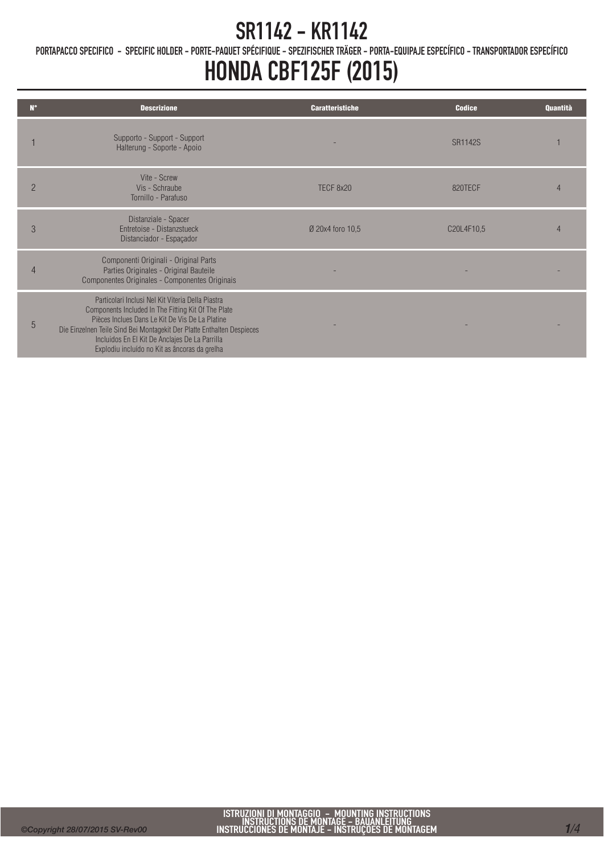PORTAPACCO SPECIFICO - SPECIFIC HOLDER - PORTE-PAQUET SPÉCIFIQUE - SPEZIFISCHER TRÄGER - PORTA-EQUIPAJE ESPECÍFICO - TRANSPORTADOR ESPECÍFICO

## HONDA CBF125F (2015)

| $N^{\circ}$    | <b>Descrizione</b>                                                                                                                                                                                                                                                                                                                       | <b>Caratteristiche</b> | <b>Codice</b>  | Quantità |
|----------------|------------------------------------------------------------------------------------------------------------------------------------------------------------------------------------------------------------------------------------------------------------------------------------------------------------------------------------------|------------------------|----------------|----------|
|                | Supporto - Support - Support<br>Halterung - Soporte - Apoio                                                                                                                                                                                                                                                                              |                        | <b>SR1142S</b> |          |
| $\overline{2}$ | Vite - Screw<br>Vis - Schraube<br>Tornillo - Parafuso                                                                                                                                                                                                                                                                                    | TECF 8x20              | 820TECF        |          |
| 3              | Distanziale - Spacer<br><b>Entretoise - Distanzstueck</b><br>Distanciador - Espaçador                                                                                                                                                                                                                                                    | Ø 20x4 foro 10,5       | C20L4F10,5     |          |
| 4              | Componenti Originali - Original Parts<br>Parties Originales - Original Bauteile<br>Componentes Originales - Componentes Originais                                                                                                                                                                                                        |                        |                |          |
| 5              | Particolari Inclusi Nel Kit Viteria Della Piastra<br>Components Included In The Fitting Kit Of The Plate<br>Pièces Inclues Dans Le Kit De Vis De La Platine<br>Die Einzelnen Teile Sind Bei Montagekit Der Platte Enthalten Despieces<br>Incluidos En El Kit De Anclajes De La Parrilla<br>Explodiu incluído no Kit as âncoras da grelha |                        |                |          |
|                |                                                                                                                                                                                                                                                                                                                                          |                        |                |          |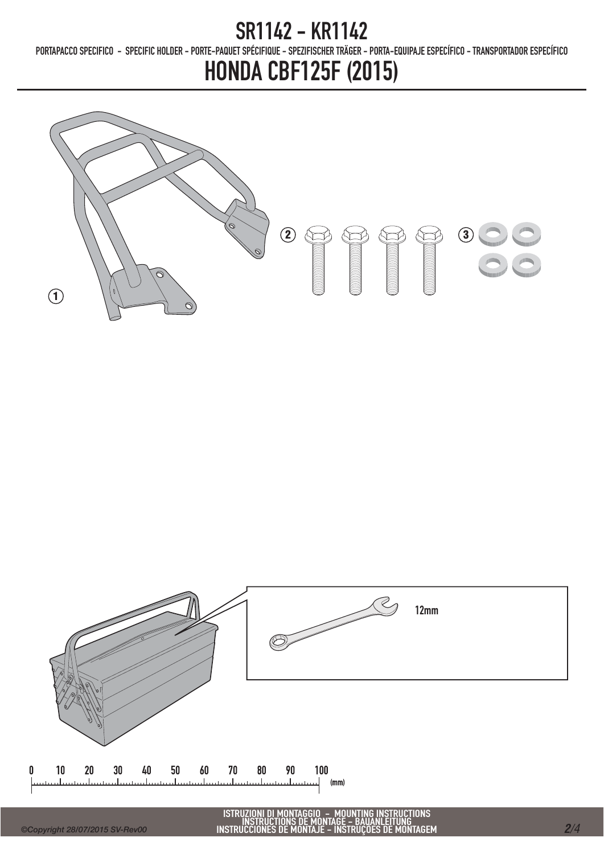PORTAPACCO SPECIFICO - SPECIFIC HOLDER - PORTE-PAQUET SPÉCIFIQUE - SPEZIFISCHER TRÄGER - PORTA-EQUIPAJE ESPECÍFICO - TRANSPORTADOR ESPECÍFICO

## HONDA CBF125F (2015)





n

ISTRUZIONI DI MONTAGGIO – MOUNTING INSTRUCTIONS<br>INSTRUCTIONS DE MONTAGE – BAUANLEITUNG<br>INSTRUCCIONES DE MONTAJE – INSTRUÇÕES DE MONTAGEM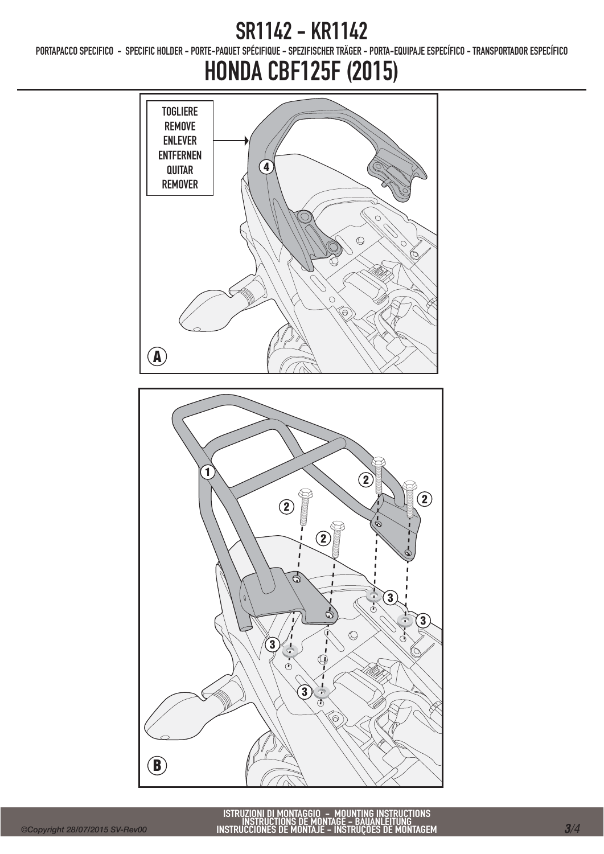PORTAPACCO SPECIFICO - SPECIFIC HOLDER - PORTE-PAQUET SPÉCIFIQUE - SPEZIFISCHER TRÄGER - PORTA-EQUIPAJE ESPECÍFICO - TRANSPORTADOR ESPECÍFICO

# HONDA CBF125F (2015)